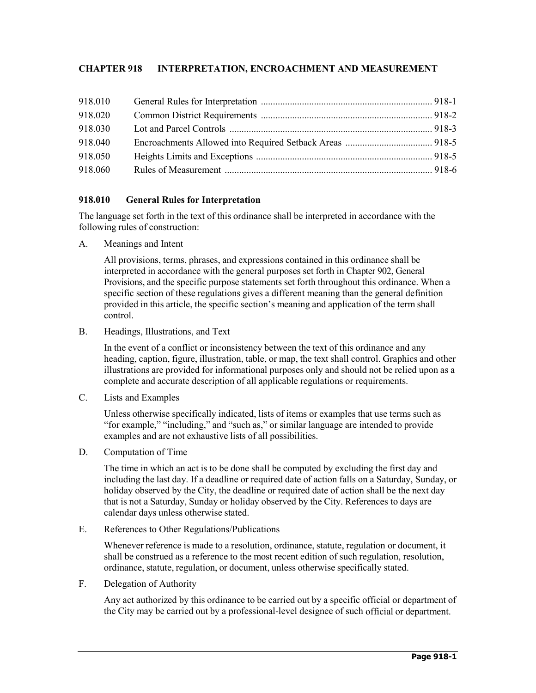# **CHAPTER 918 INTERPRETATION, ENCROACHMENT AND MEASUREMENT**

| 918.010 |  |
|---------|--|
| 918.020 |  |
| 918.030 |  |
| 918.040 |  |
| 918.050 |  |
| 918.060 |  |

## **918.010 General Rules for Interpretation**

The language set forth in the text of this ordinance shall be interpreted in accordance with the following rules of construction:

A. Meanings and Intent

All provisions, terms, phrases, and expressions contained in this ordinance shall be interpreted in accordance with the general purposes set forth in Chapter 902, General Provisions, and the specific purpose statements set forth throughout this ordinance. When a specific section of these regulations gives a different meaning than the general definition provided in this article, the specific section's meaning and application of the term shall control.

B. Headings, Illustrations, and Text

In the event of a conflict or inconsistency between the text of this ordinance and any heading, caption, figure, illustration, table, or map, the text shall control. Graphics and other illustrations are provided for informational purposes only and should not be relied upon as a complete and accurate description of all applicable regulations or requirements.

C. Lists and Examples

Unless otherwise specifically indicated, lists of items or examples that use terms such as "for example," "including," and "such as," or similar language are intended to provide examples and are not exhaustive lists of all possibilities.

D. Computation of Time

The time in which an act is to be done shall be computed by excluding the first day and including the last day. If a deadline or required date of action falls on a Saturday, Sunday, or holiday observed by the City, the deadline or required date of action shall be the next day that is not a Saturday, Sunday or holiday observed by the City. References to days are calendar days unless otherwise stated.

E. References to Other Regulations/Publications

Whenever reference is made to a resolution, ordinance, statute, regulation or document, it shall be construed as a reference to the most recent edition of such regulation, resolution, ordinance, statute, regulation, or document, unless otherwise specifically stated.

F. Delegation of Authority

Any act authorized by this ordinance to be carried out by a specific official or department of the City may be carried out by a professional-level designee of such official or department.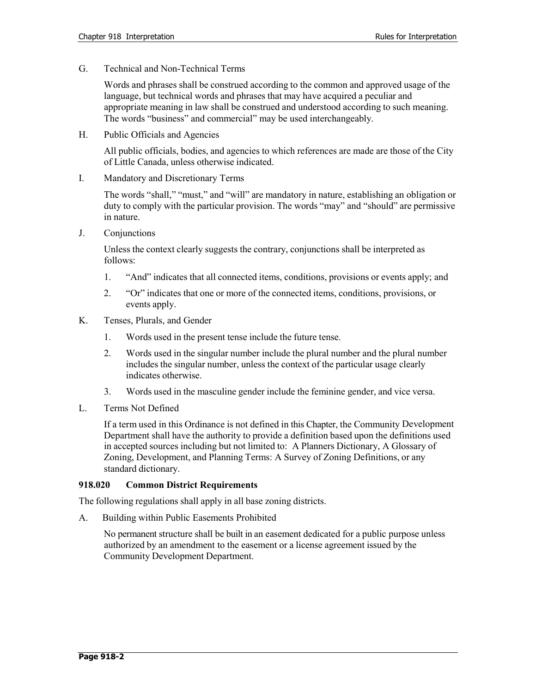G. Technical and Non-Technical Terms

Words and phrases shall be construed according to the common and approved usage of the language, but technical words and phrases that may have acquired a peculiar and appropriate meaning in law shall be construed and understood according to such meaning. The words "business" and commercial" may be used interchangeably.

H. Public Officials and Agencies

All public officials, bodies, and agencies to which references are made are those of the City of Little Canada, unless otherwise indicated.

I. Mandatory and Discretionary Terms

The words "shall," "must," and "will" are mandatory in nature, establishing an obligation or duty to comply with the particular provision. The words "may" and "should" are permissive in nature.

J. Conjunctions

Unless the context clearly suggests the contrary, conjunctions shall be interpreted as follows:

- 1. "And" indicates that all connected items, conditions, provisions or events apply; and
- 2. "Or" indicates that one or more of the connected items, conditions, provisions, or events apply.
- K. Tenses, Plurals, and Gender
	- 1. Words used in the present tense include the future tense.
	- 2. Words used in the singular number include the plural number and the plural number includes the singular number, unless the context of the particular usage clearly indicates otherwise.
	- 3. Words used in the masculine gender include the feminine gender, and vice versa.
- L. Terms Not Defined

If a term used in this Ordinance is not defined in this Chapter, the Community Development Department shall have the authority to provide a definition based upon the definitions used in accepted sources including but not limited to: A Planners Dictionary, A Glossary of Zoning, Development, and Planning Terms: A Survey of Zoning Definitions, or any standard dictionary.

## **918.020 Common District Requirements**

The following regulations shall apply in all base zoning districts.

A. Building within Public Easements Prohibited

No permanent structure shall be built in an easement dedicated for a public purpose unless authorized by an amendment to the easement or a license agreement issued by the Community Development Department.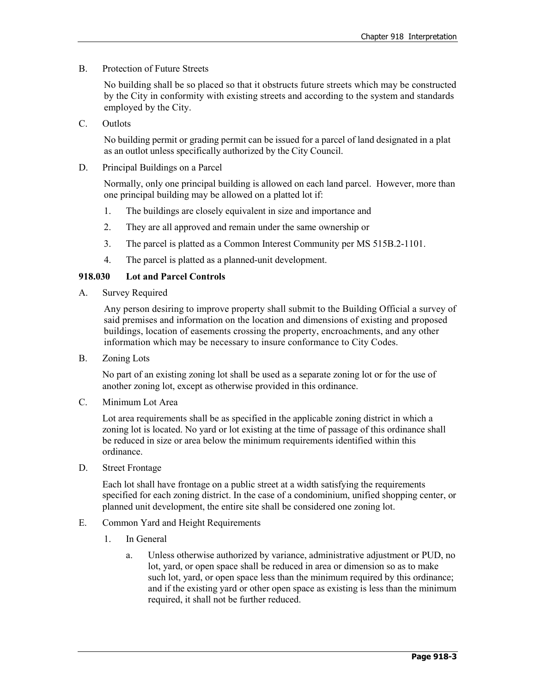B. Protection of Future Streets

No building shall be so placed so that it obstructs future streets which may be constructed by the City in conformity with existing streets and according to the system and standards employed by the City.

C. Outlots

No building permit or grading permit can be issued for a parcel of land designated in a plat as an outlot unless specifically authorized by the City Council.

D. Principal Buildings on a Parcel

Normally, only one principal building is allowed on each land parcel. However, more than one principal building may be allowed on a platted lot if:

- 1. The buildings are closely equivalent in size and importance and
- 2. They are all approved and remain under the same ownership or
- 3. The parcel is platted as a Common Interest Community per MS 515B.2-1101.
- 4. The parcel is platted as a planned-unit development.

## **918.030 Lot and Parcel Controls**

A. Survey Required

Any person desiring to improve property shall submit to the Building Official a survey of said premises and information on the location and dimensions of existing and proposed buildings, location of easements crossing the property, encroachments, and any other information which may be necessary to insure conformance to City Codes.

B. Zoning Lots

No part of an existing zoning lot shall be used as a separate zoning lot or for the use of another zoning lot, except as otherwise provided in this ordinance.

C. Minimum Lot Area

Lot area requirements shall be as specified in the applicable zoning district in which a zoning lot is located. No yard or lot existing at the time of passage of this ordinance shall be reduced in size or area below the minimum requirements identified within this ordinance.

D. Street Frontage

Each lot shall have frontage on a public street at a width satisfying the requirements specified for each zoning district. In the case of a condominium, unified shopping center, or planned unit development, the entire site shall be considered one zoning lot.

- E. Common Yard and Height Requirements
	- 1. In General
		- a. Unless otherwise authorized by variance, administrative adjustment or PUD, no lot, yard, or open space shall be reduced in area or dimension so as to make such lot, yard, or open space less than the minimum required by this ordinance; and if the existing yard or other open space as existing is less than the minimum required, it shall not be further reduced.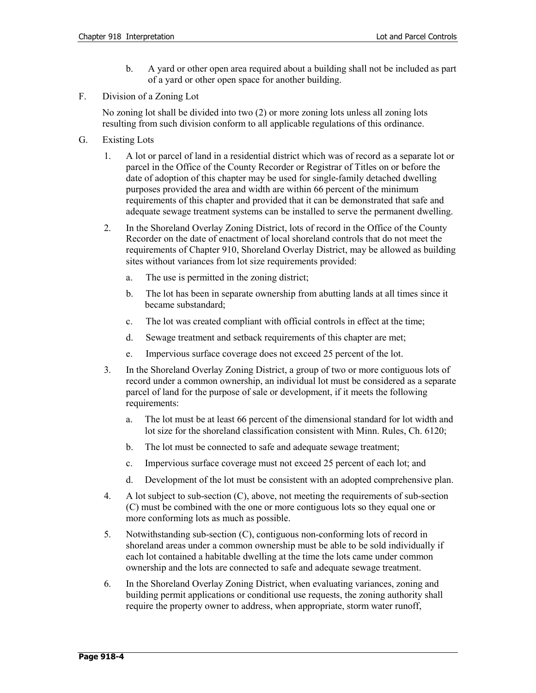- b. A yard or other open area required about a building shall not be included as part of a yard or other open space for another building.
- F. Division of a Zoning Lot

No zoning lot shall be divided into two (2) or more zoning lots unless all zoning lots resulting from such division conform to all applicable regulations of this ordinance.

- G. Existing Lots
	- 1. A lot or parcel of land in a residential district which was of record as a separate lot or parcel in the Office of the County Recorder or Registrar of Titles on or before the date of adoption of this chapter may be used for single-family detached dwelling purposes provided the area and width are within 66 percent of the minimum requirements of this chapter and provided that it can be demonstrated that safe and adequate sewage treatment systems can be installed to serve the permanent dwelling.
	- 2. In the Shoreland Overlay Zoning District, lots of record in the Office of the County Recorder on the date of enactment of local shoreland controls that do not meet the requirements of Chapter 910, Shoreland Overlay District, may be allowed as building sites without variances from lot size requirements provided:
		- a. The use is permitted in the zoning district;
		- b. The lot has been in separate ownership from abutting lands at all times since it became substandard;
		- c. The lot was created compliant with official controls in effect at the time;
		- d. Sewage treatment and setback requirements of this chapter are met;
		- e. Impervious surface coverage does not exceed 25 percent of the lot.
	- 3. In the Shoreland Overlay Zoning District, a group of two or more contiguous lots of record under a common ownership, an individual lot must be considered as a separate parcel of land for the purpose of sale or development, if it meets the following requirements:
		- a. The lot must be at least 66 percent of the dimensional standard for lot width and lot size for the shoreland classification consistent with Minn. Rules, Ch. 6120;
		- b. The lot must be connected to safe and adequate sewage treatment;
		- c. Impervious surface coverage must not exceed 25 percent of each lot; and
		- d. Development of the lot must be consistent with an adopted comprehensive plan.
	- 4. A lot subject to sub-section (C), above, not meeting the requirements of sub-section (C) must be combined with the one or more contiguous lots so they equal one or more conforming lots as much as possible.
	- 5. Notwithstanding sub-section (C), contiguous non-conforming lots of record in shoreland areas under a common ownership must be able to be sold individually if each lot contained a habitable dwelling at the time the lots came under common ownership and the lots are connected to safe and adequate sewage treatment.
	- 6. In the Shoreland Overlay Zoning District, when evaluating variances, zoning and building permit applications or conditional use requests, the zoning authority shall require the property owner to address, when appropriate, storm water runoff,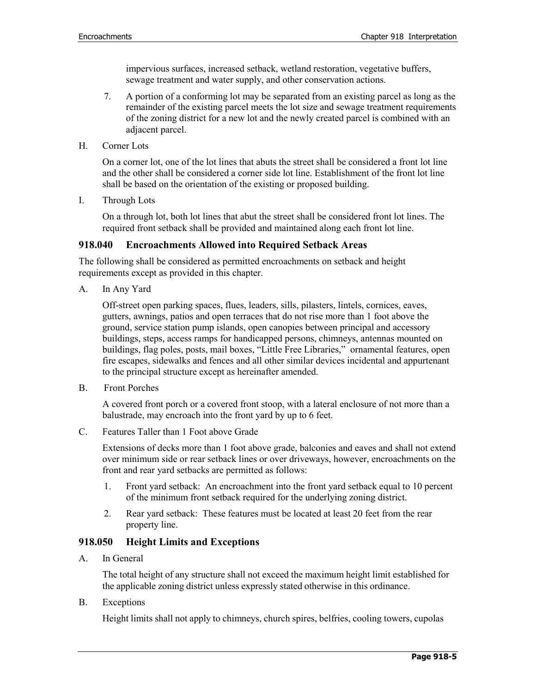impervious surfaces, increased setback, wetland restoration, vegetative buffers, sewage treatment and water supply, and other conservation actions.

- 7. A portion of a conforming lot may be separated from an existing parcel as long as the remainder of the existing parcel meets the lot size and sewage treatment requirements of the zoning district for a new lot and the newly created parcel is combined with an adjacent parcel.
- H. Corner Lots

On a corner lot, one of the lot lines that abuts the street shall be considered a front lot line and the other shall be considered a corner side lot line. Establishment of the front lot line shall be based on the orientation of the existing or proposed building.

I. Through Lots

On a through lot, both lot lines that abut the street shall be considered front lot lines. The required front setback shall be provided and maintained along each front lot line.

#### **918.040 Encroachments Allowed into Required Setback Areas**

The following shall be considered as permitted encroachments on setback and height requirements except as provided in this chapter.

A. In Any Yard

Off-street open parking spaces, flues, leaders, sills, pilasters, lintels, cornices, eaves, gutters, awnings, patios and open terraces that do not rise more than 1 foot above the ground, service station pump islands, open canopies between principal and accessory buildings, steps, access ramps for handicapped persons, chimneys, antennas mounted on buildings, flag poles, posts, mail boxes, "Little Free Libraries," ornamental features, open fire escapes, sidewalks and fences and all other similar devices incidental and appurtenant to the principal structure except as hereinafter amended.

B. Front Porches

A covered front porch or a covered front stoop, with a lateral enclosure of not more than a balustrade, may encroach into the front yard by up to 6 feet.

C. Features Taller than 1 Foot above Grade

Extensions of decks more than 1 foot above grade, balconies and eaves and shall not extend over minimum side or rear setback lines or over driveways, however, encroachments on the front and rear yard setbacks are permitted as follows:

- 1. Front yard setback: An encroachment into the front yard setback equal to 10 percent of the minimum front setback required for the underlying zoning district.
- 2. Rear yard setback: These features must be located at least 20 feet from the rear property line.

## **918.050 Height Limits and Exceptions**

A. In General

The total height of any structure shall not exceed the maximum height limit established for the applicable zoning district unless expressly stated otherwise in this ordinance.

B. Exceptions

Height limits shall not apply to chimneys, church spires, belfries, cooling towers, cupolas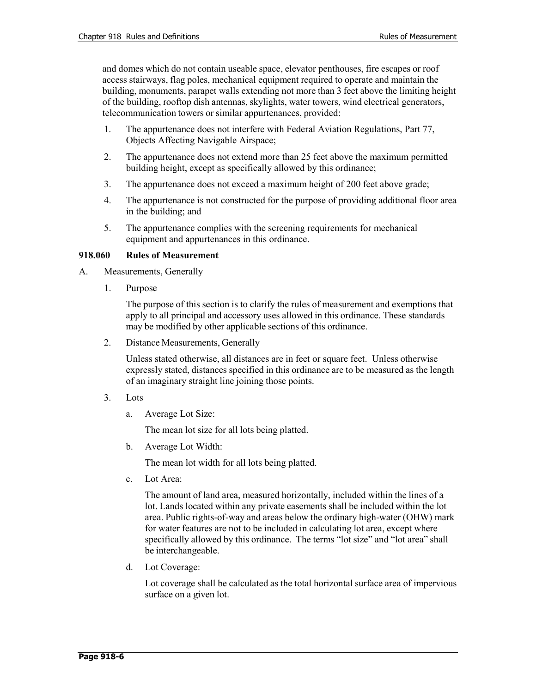and domes which do not contain useable space, elevator penthouses, fire escapes or roof access stairways, flag poles, mechanical equipment required to operate and maintain the building, monuments, parapet walls extending not more than 3 feet above the limiting height of the building, rooftop dish antennas, skylights, water towers, wind electrical generators, telecommunication towers or similar appurtenances, provided:

- 1. The appurtenance does not interfere with Federal Aviation Regulations, Part 77, Objects Affecting Navigable Airspace;
- 2. The appurtenance does not extend more than 25 feet above the maximum permitted building height, except as specifically allowed by this ordinance;
- 3. The appurtenance does not exceed a maximum height of 200 feet above grade;
- 4. The appurtenance is not constructed for the purpose of providing additional floor area in the building; and
- 5. The appurtenance complies with the screening requirements for mechanical equipment and appurtenances in this ordinance.

## **918.060 Rules of Measurement**

- A. Measurements, Generally
	- 1. Purpose

The purpose of this section is to clarify the rules of measurement and exemptions that apply to all principal and accessory uses allowed in this ordinance. These standards may be modified by other applicable sections of this ordinance.

2. Distance Measurements, Generally

Unless stated otherwise, all distances are in feet or square feet. Unless otherwise expressly stated, distances specified in this ordinance are to be measured as the length of an imaginary straight line joining those points.

- 3. Lots
	- a. Average Lot Size:

The mean lot size for all lots being platted.

b. Average Lot Width:

The mean lot width for all lots being platted.

c. Lot Area:

The amount of land area, measured horizontally, included within the lines of a lot. Lands located within any private easements shall be included within the lot area. Public rights-of-way and areas below the ordinary high-water (OHW) mark for water features are not to be included in calculating lot area, except where specifically allowed by this ordinance. The terms "lot size" and "lot area" shall be interchangeable.

d. Lot Coverage:

Lot coverage shall be calculated as the total horizontal surface area of impervious surface on a given lot.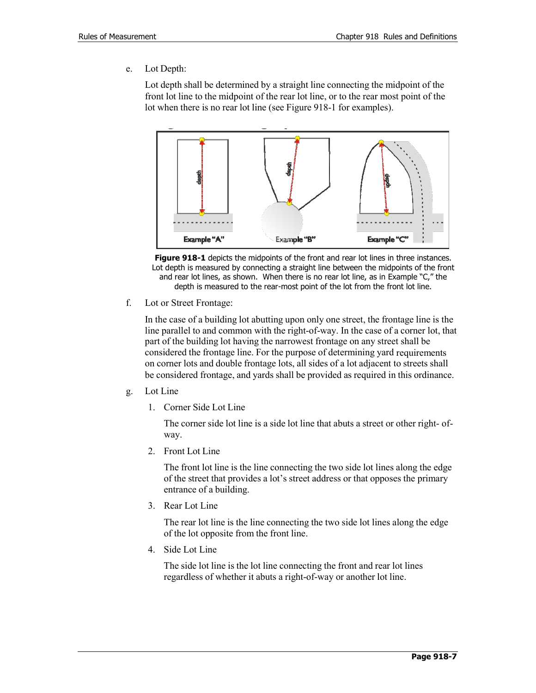e. Lot Depth:

Lot depth shall be determined by a straight line connecting the midpoint of the front lot line to the midpoint of the rear lot line, or to the rear most point of the lot when there is no rear lot line (see Figure 918-1 for examples).



**Figure 918-1** depicts the midpoints of the front and rear lot lines in three instances. Lot depth is measured by connecting a straight line between the midpoints of the front and rear lot lines, as shown. When there is no rear lot line, as in Example "C," the depth is measured to the rear-most point of the lot from the front lot line.

f. Lot or Street Frontage:

In the case of a building lot abutting upon only one street, the frontage line is the line parallel to and common with the right-of-way. In the case of a corner lot, that part of the building lot having the narrowest frontage on any street shall be considered the frontage line. For the purpose of determining yard requirements on corner lots and double frontage lots, all sides of a lot adjacent to streets shall be considered frontage, and yards shall be provided as required in this ordinance.

- g. Lot Line
	- 1. Corner Side Lot Line

The corner side lot line is a side lot line that abuts a street or other right- ofway.

2. Front Lot Line

The front lot line is the line connecting the two side lot lines along the edge of the street that provides a lot's street address or that opposes the primary entrance of a building.

3. Rear Lot Line

The rear lot line is the line connecting the two side lot lines along the edge of the lot opposite from the front line.

4. Side Lot Line

The side lot line is the lot line connecting the front and rear lot lines regardless of whether it abuts a right-of-way or another lot line.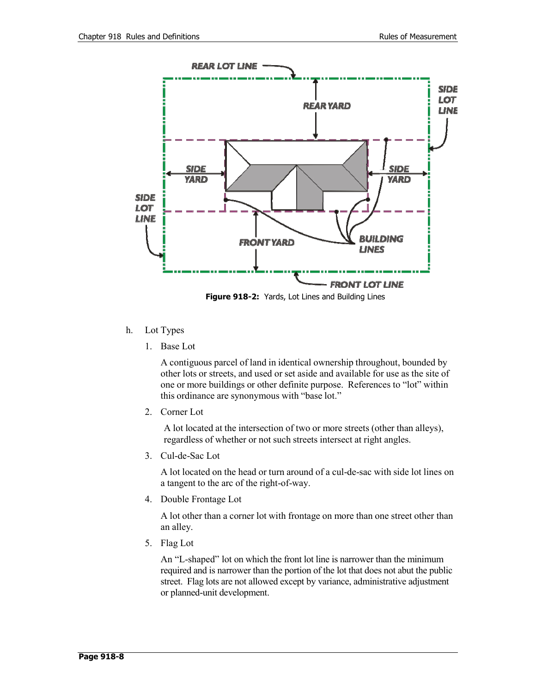

## h. Lot Types

1. Base Lot

A contiguous parcel of land in identical ownership throughout, bounded by other lots or streets, and used or set aside and available for use as the site of one or more buildings or other definite purpose. References to "lot" within this ordinance are synonymous with "base lot."

2. Corner Lot

A lot located at the intersection of two or more streets (other than alleys), regardless of whether or not such streets intersect at right angles.

3. Cul-de-Sac Lot

A lot located on the head or turn around of a cul-de-sac with side lot lines on a tangent to the arc of the right-of-way.

4. Double Frontage Lot

A lot other than a corner lot with frontage on more than one street other than an alley.

5. Flag Lot

An "L-shaped" lot on which the front lot line is narrower than the minimum required and is narrower than the portion of the lot that does not abut the public street. Flag lots are not allowed except by variance, administrative adjustment or planned-unit development.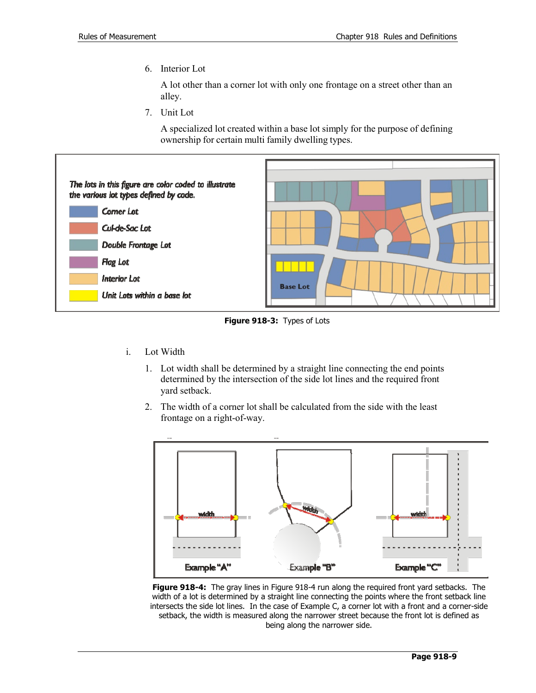6. Interior Lot

A lot other than a corner lot with only one frontage on a street other than an alley.

7. Unit Lot

A specialized lot created within a base lot simply for the purpose of defining ownership for certain multi family dwelling types.



**Figure 918-3:** Types of Lots

- i. Lot Width
	- 1. Lot width shall be determined by a straight line connecting the end points determined by the intersection of the side lot lines and the required front yard setback.
	- 2. The width of a corner lot shall be calculated from the side with the least frontage on a right-of-way.



**Figure 918-4:** The gray lines in Figure 918-4 run along the required front yard setbacks. The width of a lot is determined by a straight line connecting the points where the front setback line intersects the side lot lines. In the case of Example C, a corner lot with a front and a corner-side setback, the width is measured along the narrower street because the front lot is defined as being along the narrower side.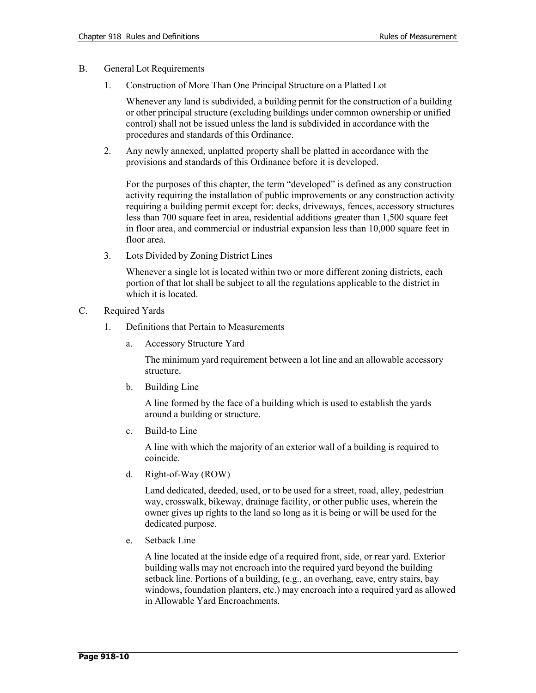- B. General Lot Requirements
	- 1. Construction of More Than One Principal Structure on a Platted Lot

Whenever any land is subdivided, a building permit for the construction of a building or other principal structure (excluding buildings under common ownership or unified control) shall not be issued unless the land is subdivided in accordance with the procedures and standards of this Ordinance.

2. Any newly annexed, unplatted property shall be platted in accordance with the provisions and standards of this Ordinance before it is developed.

For the purposes of this chapter, the term "developed" is defined as any construction activity requiring the installation of public improvements or any construction activity requiring a building permit except for: decks, driveways, fences, accessory structures less than 700 square feet in area, residential additions greater than 1,500 square feet in floor area, and commercial or industrial expansion less than 10,000 square feet in floor area.

3. Lots Divided by Zoning District Lines

Whenever a single lot is located within two or more different zoning districts, each portion of that lot shall be subject to all the regulations applicable to the district in which it is located.

- C. Required Yards
	- 1. Definitions that Pertain to Measurements
		- a. Accessory Structure Yard

The minimum yard requirement between a lot line and an allowable accessory structure.

b. Building Line

A line formed by the face of a building which is used to establish the yards around a building or structure.

c. Build-to Line

A line with which the majority of an exterior wall of a building is required to coincide.

d. Right-of-Way (ROW)

Land dedicated, deeded, used, or to be used for a street, road, alley, pedestrian way, crosswalk, bikeway, drainage facility, or other public uses, wherein the owner gives up rights to the land so long as it is being or will be used for the dedicated purpose.

e. Setback Line

A line located at the inside edge of a required front, side, or rear yard. Exterior building walls may not encroach into the required yard beyond the building setback line. Portions of a building, (e.g., an overhang, eave, entry stairs, bay windows, foundation planters, etc.) may encroach into a required yard as allowed in Allowable Yard Encroachments.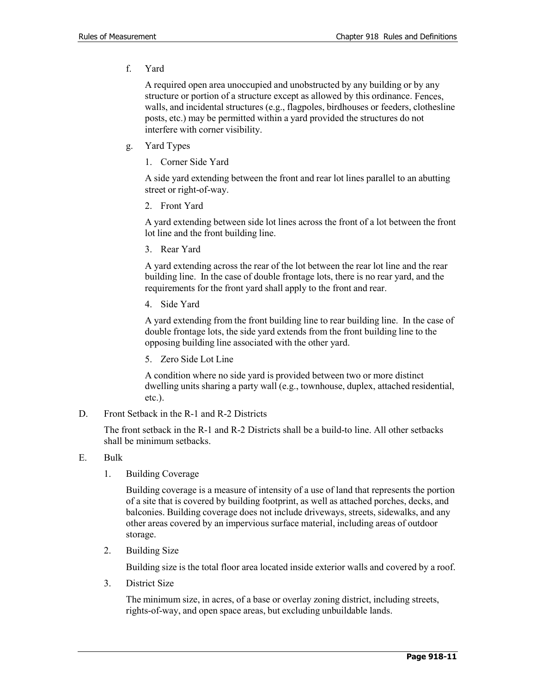f. Yard

A required open area unoccupied and unobstructed by any building or by any structure or portion of a structure except as allowed by this ordinance. Fences, walls, and incidental structures (e.g., flagpoles, birdhouses or feeders, clothesline posts, etc.) may be permitted within a yard provided the structures do not interfere with corner visibility.

- g. Yard Types
	- 1. Corner Side Yard

A side yard extending between the front and rear lot lines parallel to an abutting street or right-of-way.

2. Front Yard

A yard extending between side lot lines across the front of a lot between the front lot line and the front building line.

3. Rear Yard

A yard extending across the rear of the lot between the rear lot line and the rear building line. In the case of double frontage lots, there is no rear yard, and the requirements for the front yard shall apply to the front and rear.

4. Side Yard

A yard extending from the front building line to rear building line. In the case of double frontage lots, the side yard extends from the front building line to the opposing building line associated with the other yard.

5. Zero Side Lot Line

A condition where no side yard is provided between two or more distinct dwelling units sharing a party wall (e.g., townhouse, duplex, attached residential, etc.).

D. Front Setback in the R-1 and R-2 Districts

The front setback in the R-1 and R-2 Districts shall be a build-to line. All other setbacks shall be minimum setbacks.

- E. Bulk
	- 1. Building Coverage

Building coverage is a measure of intensity of a use of land that represents the portion of a site that is covered by building footprint, as well as attached porches, decks, and balconies. Building coverage does not include driveways, streets, sidewalks, and any other areas covered by an impervious surface material, including areas of outdoor storage.

2. Building Size

Building size is the total floor area located inside exterior walls and covered by a roof.

3. District Size

The minimum size, in acres, of a base or overlay zoning district, including streets, rights-of-way, and open space areas, but excluding unbuildable lands.